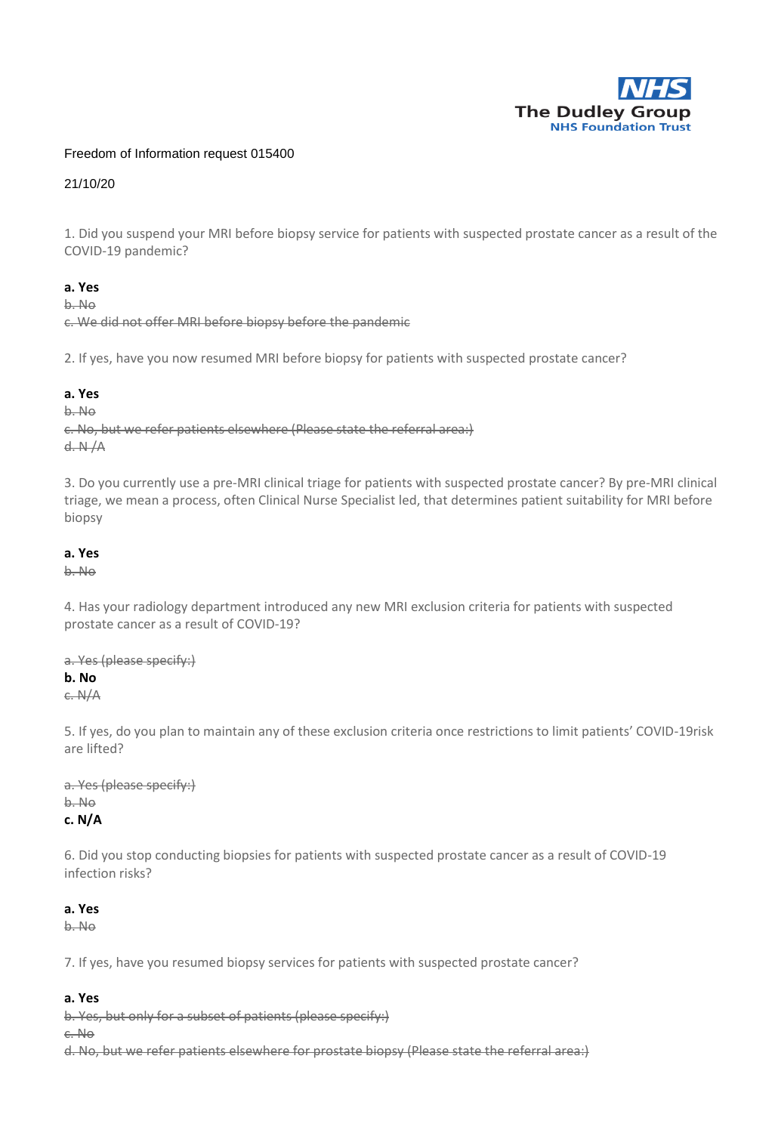

## Freedom of Information request 015400

21/10/20

1. Did you suspend your MRI before biopsy service for patients with suspected prostate cancer as a result of the COVID-19 pandemic?

## **a. Yes**

b. No

c. We did not offer MRI before biopsy before the pandemic

2. If yes, have you now resumed MRI before biopsy for patients with suspected prostate cancer?

### **a. Yes**

b. No

c. No, but we refer patients elsewhere (Please state the referral area:) d. N /A

3. Do you currently use a pre-MRI clinical triage for patients with suspected prostate cancer? By pre-MRI clinical triage, we mean a process, often Clinical Nurse Specialist led, that determines patient suitability for MRI before biopsy

### **a. Yes**

b. No

4. Has your radiology department introduced any new MRI exclusion criteria for patients with suspected prostate cancer as a result of COVID-19?

a. Yes (please specify:)

## **b. No**

c. N/A

5. If yes, do you plan to maintain any of these exclusion criteria once restrictions to limit patients' COVID-19risk are lifted?

a. Yes (please specify:) b. No **c. N/A**

6. Did you stop conducting biopsies for patients with suspected prostate cancer as a result of COVID-19 infection risks?

### **a. Yes**

b. No

7. If yes, have you resumed biopsy services for patients with suspected prostate cancer?

### **a. Yes**

b. Yes, but only for a subset of patients (please specify:)

c. No

d. No, but we refer patients elsewhere for prostate biopsy (Please state the referral area:)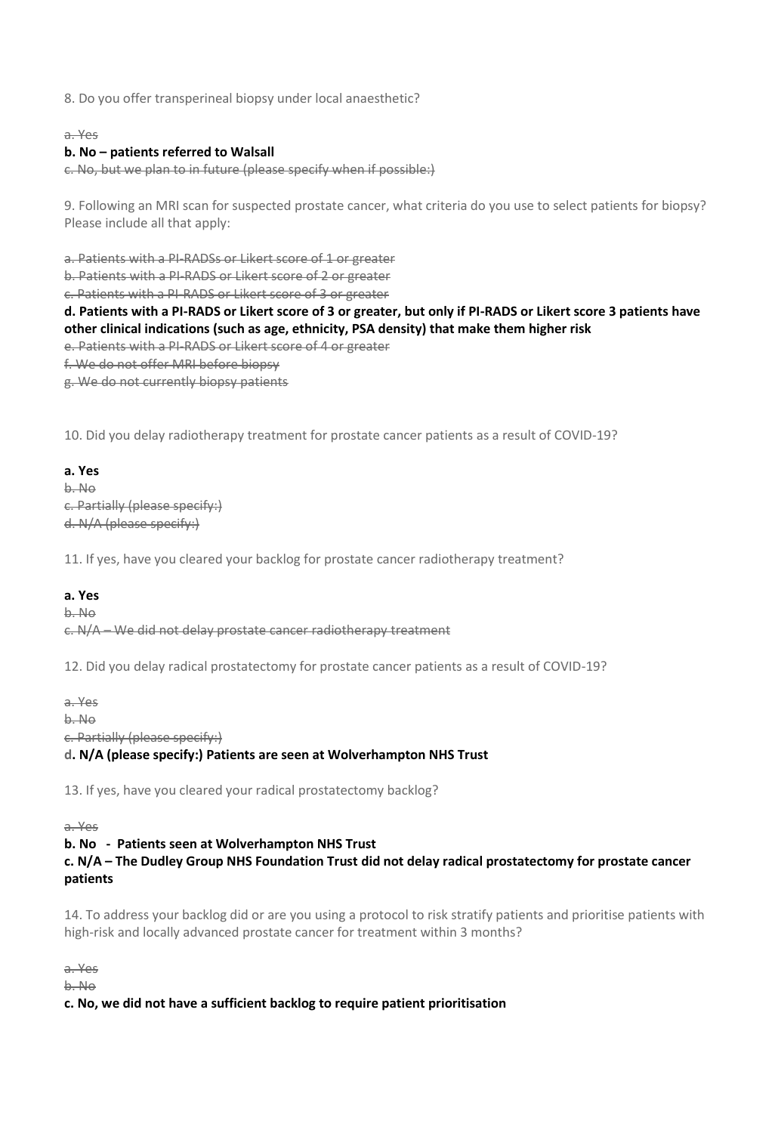8. Do you offer transperineal biopsy under local anaesthetic?

### a. Yes

## **b. No – patients referred to Walsall**

c. No, but we plan to in future (please specify when if possible:)

9. Following an MRI scan for suspected prostate cancer, what criteria do you use to select patients for biopsy? Please include all that apply:

a. Patients with a PI-RADSs or Likert score of 1 or greater

b. Patients with a PI-RADS or Likert score of 2 or greater

c. Patients with a PI-RADS or Likert score of 3 or greater

# **d. Patients with a PI-RADS or Likert score of 3 or greater, but only if PI-RADS or Likert score 3 patients have other clinical indications (such as age, ethnicity, PSA density) that make them higher risk**

- e. Patients with a PI-RADS or Likert score of 4 or greater
- f. We do not offer MRI before biopsy

g. We do not currently biopsy patients

10. Did you delay radiotherapy treatment for prostate cancer patients as a result of COVID-19?

## **a. Yes**

b. No c. Partially (please specify:) d. N/A (please specify:)

11. If yes, have you cleared your backlog for prostate cancer radiotherapy treatment?

### **a. Yes**

b. No c. N/A – We did not delay prostate cancer radiotherapy treatment

12. Did you delay radical prostatectomy for prostate cancer patients as a result of COVID-19?

a. Yes

b. No

c. Partially (please specify:)

### **d. N/A (please specify:) Patients are seen at Wolverhampton NHS Trust**

13. If yes, have you cleared your radical prostatectomy backlog?

a. Yes

### **b. No - Patients seen at Wolverhampton NHS Trust**

# **c. N/A – The Dudley Group NHS Foundation Trust did not delay radical prostatectomy for prostate cancer patients**

14. To address your backlog did or are you using a protocol to risk stratify patients and prioritise patients with high-risk and locally advanced prostate cancer for treatment within 3 months?

a. Yes

b. No

### **c. No, we did not have a sufficient backlog to require patient prioritisation**